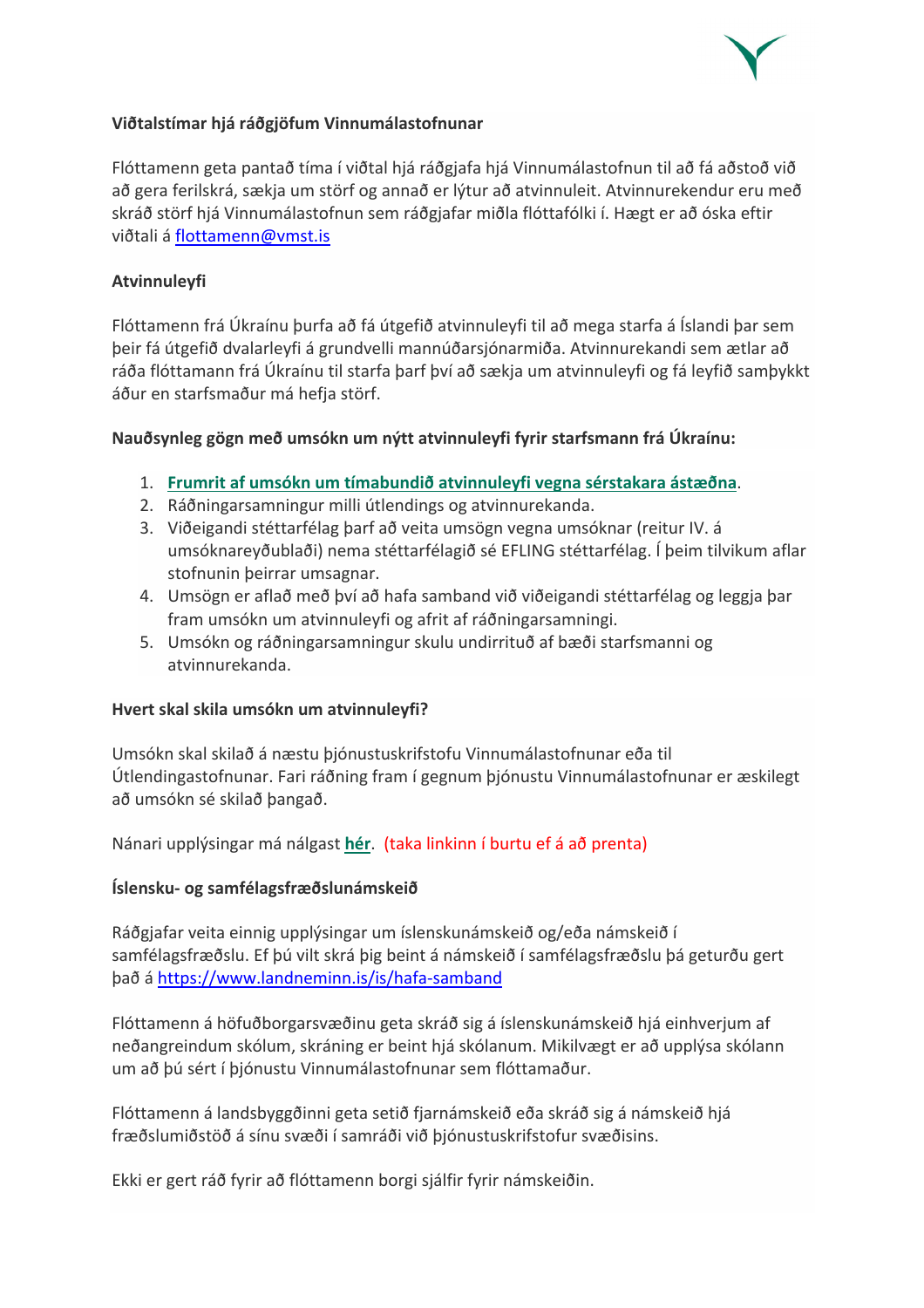

# **Viðtalstímar hjá ráðgjöfum Vinnumálastofnunar**

Flóttamenn geta pantað tíma í viðtal hjá ráðgjafa hjá Vinnumálastofnun til að fá aðstoð við að gera ferilskrá, sækja um störf og annað er lýtur að atvinnuleit. Atvinnurekendur eru með skráð störf hjá Vinnumálastofnun sem ráðgjafar miðla flóttafólki í. Hægt er að óska eftir viðtali á flottamenn@vmst.is

# **Atvinnuleyfi**

Flóttamenn frá Úkraínu þurfa að fá útgefið atvinnuleyfi til að mega starfa á Íslandi þar sem þeir fá útgefið dvalarleyfi á grundvelli mannúðarsjónarmiða. Atvinnurekandi sem ætlar að ráða flóttamann frá Úkraínu til starfa þarf því að sækja um atvinnuleyfi og fá leyfið samþykkt áður en starfsmaður má hefja störf.

# **Nauðsynleg gögn með umsókn um nýtt atvinnuleyfi fyrir starfsmann frá Úkraínu:**

- 1. **Frumrit af umsókn um tímabundið atvinnuleyfi vegna sérstakara ástæðna**.
- 2. Ráðningarsamningur milli útlendings og atvinnurekanda.
- 3. Viðeigandi stéttarfélag þarf að veita umsögn vegna umsóknar (reitur IV. á umsóknareyðublaði) nema stéttarfélagið sé EFLING stéttarfélag. Í þeim tilvikum aflar stofnunin þeirrar umsagnar.
- 4. Umsögn er aflað með því að hafa samband við viðeigandi stéttarfélag og leggja þar fram umsókn um atvinnuleyfi og afrit af ráðningarsamningi.
- 5. Umsókn og ráðningarsamningur skulu undirrituð af bæði starfsmanni og atvinnurekanda.

### **Hvert skal skila umsókn um atvinnuleyfi?**

Umsókn skal skilað á næstu þjónustuskrifstofu Vinnumálastofnunar eða til Útlendingastofnunar. Fari ráðning fram í gegnum þjónustu Vinnumálastofnunar er æskilegt að umsókn sé skilað þangað.

Nánari upplýsingar má nálgast **hér**. (taka linkinn í burtu ef á að prenta)

### **Íslensku- og samfélagsfræðslunámskeið**

Ráðgjafar veita einnig upplýsingar um íslenskunámskeið og/eða námskeið í samfélagsfræðslu. Ef þú vilt skrá þig beint á námskeið í samfélagsfræðslu þá geturðu gert það á https://www.landneminn.is/is/hafa-samband

Flóttamenn á höfuðborgarsvæðinu geta skráð sig á íslenskunámskeið hjá einhverjum af neðangreindum skólum, skráning er beint hjá skólanum. Mikilvægt er að upplýsa skólann um að þú sért í þjónustu Vinnumálastofnunar sem flóttamaður.

Flóttamenn á landsbyggðinni geta setið fjarnámskeið eða skráð sig á námskeið hjá fræðslumiðstöð á sínu svæði í samráði við þjónustuskrifstofur svæðisins.

Ekki er gert ráð fyrir að flóttamenn borgi sjálfir fyrir námskeiðin.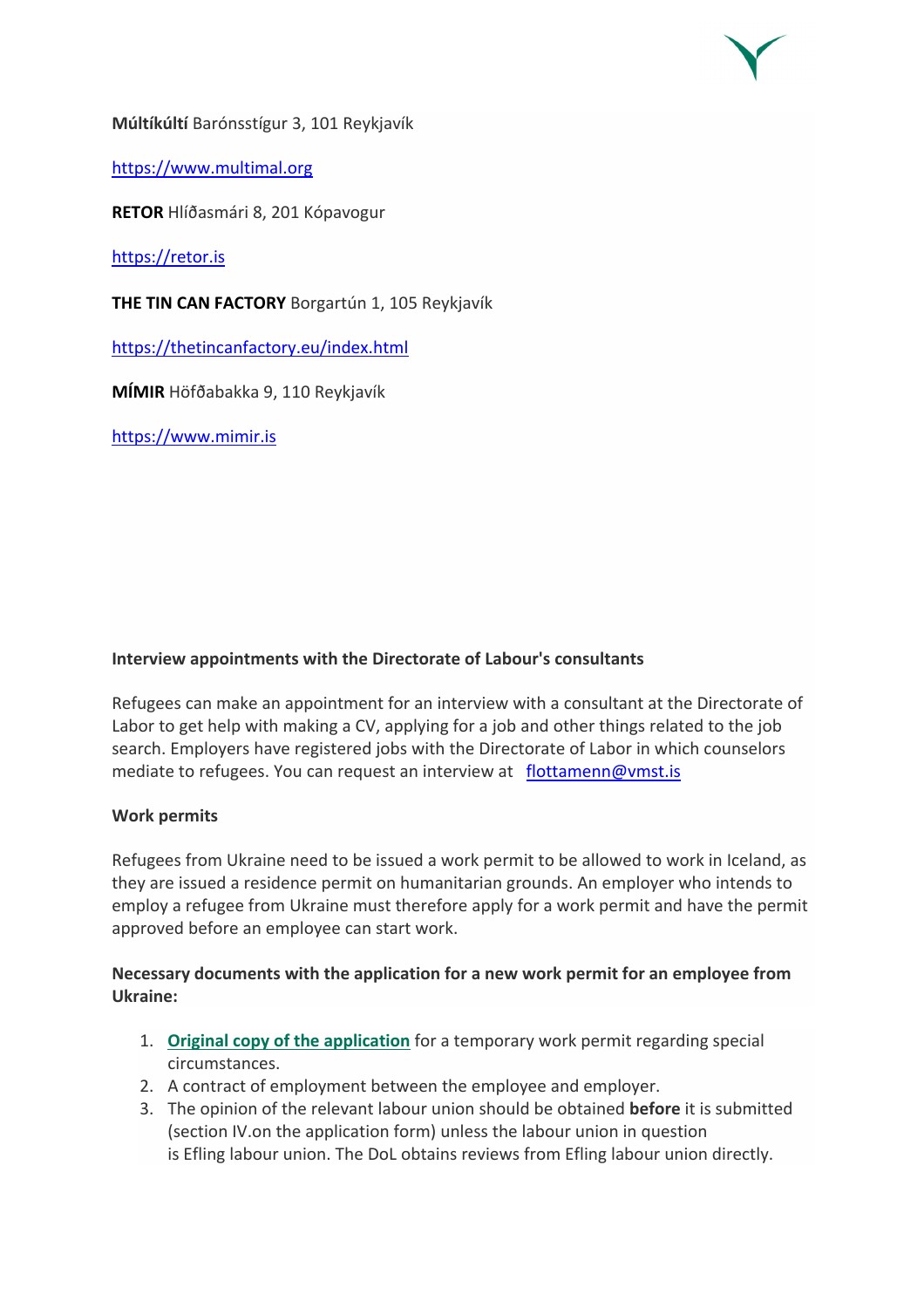**Múltíkúltí** Barónsstígur 3, 101 Reykjavík

https://www.multimal.org

**RETOR** Hlíðasmári 8, 201 Kópavogur

https://retor.is

**THE TIN CAN FACTORY** Borgartún 1, 105 Reykjavík

https://thetincanfactory.eu/index.html

**MÍMIR** Höfðabakka 9, 110 Reykjavík

https://www.mimir.is

# **Interview appointments with the Directorate of Labour's consultants**

Refugees can make an appointment for an interview with a consultant at the Directorate of Labor to get help with making a CV, applying for a job and other things related to the job search. Employers have registered jobs with the Directorate of Labor in which counselors mediate to refugees. You can request an interview at flottamenn@vmst.is

### **Work permits**

Refugees from Ukraine need to be issued a work permit to be allowed to work in Iceland, as they are issued a residence permit on humanitarian grounds. An employer who intends to employ a refugee from Ukraine must therefore apply for a work permit and have the permit approved before an employee can start work.

# **Necessary documents with the application for a new work permit for an employee from Ukraine:**

- 1. **Original copy of the application** for a temporary work permit regarding special circumstances.
- 2. A contract of employment between the employee and employer.
- 3. The opinion of the relevant labour union should be obtained **before** it is submitted (section IV.on the application form) unless the labour union in question is Efling labour union. The DoL obtains reviews from Efling labour union directly.